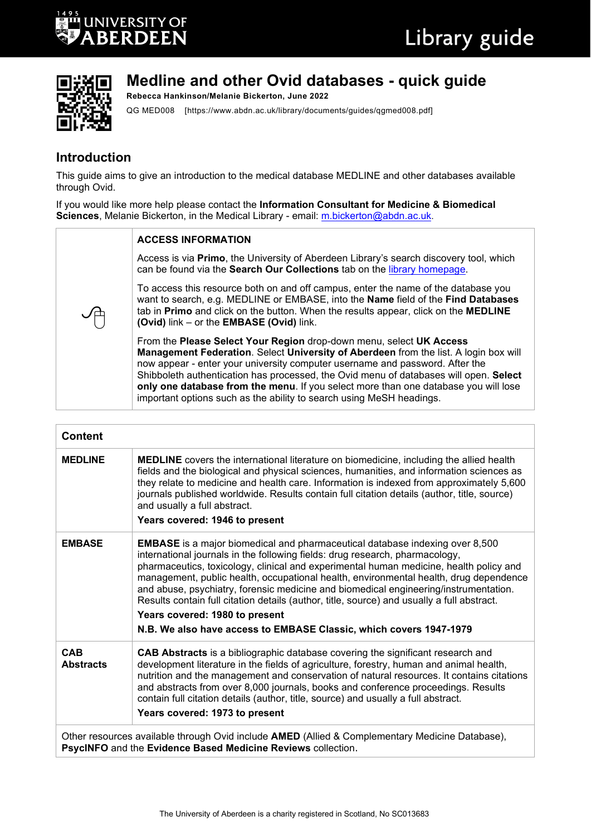



# **Medline and other Ovid databases - quick guide**

**Rebecca Hankinson/Melanie Bickerton, June 2022**

QG MED008 [https://www.abdn.ac.uk/library/documents/guides/qgmed008.pdf]

## **Introduction**

This guide aims to give an introduction to the medical database MEDLINE and other databases available through Ovid.

If you would like more help please contact the **Information Consultant for Medicine & Biomedical**  Sciences, Melanie Bickerton, in the Medical Library - email: [m.bickerton@abdn.ac.uk.](mailto:m.bickerton@abdn.ac.uk)

| <b>ACCESS INFORMATION</b>                                                                                                                                                                                                                                                                                                                                                                                                                                                                           |
|-----------------------------------------------------------------------------------------------------------------------------------------------------------------------------------------------------------------------------------------------------------------------------------------------------------------------------------------------------------------------------------------------------------------------------------------------------------------------------------------------------|
| Access is via Primo, the University of Aberdeen Library's search discovery tool, which<br>can be found via the Search Our Collections tab on the library homepage.                                                                                                                                                                                                                                                                                                                                  |
| To access this resource both on and off campus, enter the name of the database you<br>want to search, e.g. MEDLINE or EMBASE, into the Name field of the Find Databases<br>tab in Primo and click on the button. When the results appear, click on the MEDLINE<br>(Ovid) link - or the EMBASE (Ovid) link.                                                                                                                                                                                          |
| From the Please Select Your Region drop-down menu, select UK Access<br>Management Federation. Select University of Aberdeen from the list. A login box will<br>now appear - enter your university computer username and password. After the<br>Shibboleth authentication has processed, the Ovid menu of databases will open. Select<br>only one database from the menu. If you select more than one database you will lose<br>important options such as the ability to search using MeSH headings. |

| <b>Content</b>                 |                                                                                                                                                                                                                                                                                                                                                                                                                                                                                                                                                                                                                                                      |
|--------------------------------|------------------------------------------------------------------------------------------------------------------------------------------------------------------------------------------------------------------------------------------------------------------------------------------------------------------------------------------------------------------------------------------------------------------------------------------------------------------------------------------------------------------------------------------------------------------------------------------------------------------------------------------------------|
| <b>MEDLINE</b>                 | <b>MEDLINE</b> covers the international literature on biomedicine, including the allied health<br>fields and the biological and physical sciences, humanities, and information sciences as<br>they relate to medicine and health care. Information is indexed from approximately 5,600<br>journals published worldwide. Results contain full citation details (author, title, source)<br>and usually a full abstract.<br>Years covered: 1946 to present                                                                                                                                                                                              |
| <b>EMBASE</b>                  | <b>EMBASE</b> is a major biomedical and pharmaceutical database indexing over 8,500<br>international journals in the following fields: drug research, pharmacology,<br>pharmaceutics, toxicology, clinical and experimental human medicine, health policy and<br>management, public health, occupational health, environmental health, drug dependence<br>and abuse, psychiatry, forensic medicine and biomedical engineering/instrumentation.<br>Results contain full citation details (author, title, source) and usually a full abstract.<br>Years covered: 1980 to present<br>N.B. We also have access to EMBASE Classic, which covers 1947-1979 |
| <b>CAB</b><br><b>Abstracts</b> | CAB Abstracts is a bibliographic database covering the significant research and<br>development literature in the fields of agriculture, forestry, human and animal health,<br>nutrition and the management and conservation of natural resources. It contains citations<br>and abstracts from over 8,000 journals, books and conference proceedings. Results<br>contain full citation details (author, title, source) and usually a full abstract.<br>Years covered: 1973 to present                                                                                                                                                                 |
|                                | Other resources available through Ovid include <b>AMED</b> (Allied & Complementary Medicine Database),                                                                                                                                                                                                                                                                                                                                                                                                                                                                                                                                               |

**PsycINFO** and the **Evidence Based Medicine Reviews** collection.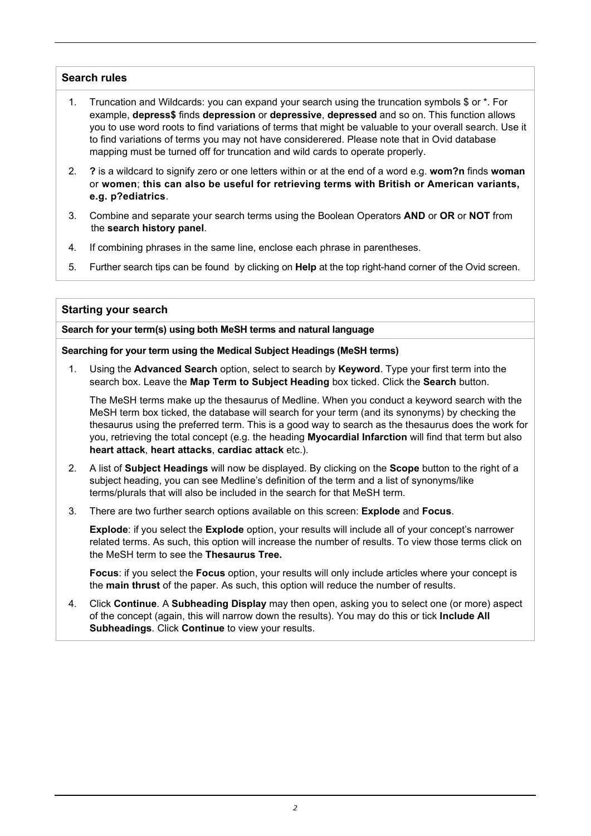#### **Search rules**

- 1. Truncation and Wildcards: you can expand your search using the truncation symbols \$ or \*. For example, **depress\$** finds **depression** or **depressive**, **depressed** and so on. This function allows you to use word roots to find variations of terms that might be valuable to your overall search. Use it to find variations of terms you may not have considerered. Please note that in Ovid database mapping must be turned off for truncation and wild cards to operate properly.
- 2. **?** is a wildcard to signify zero or one letters within or at the end of a word e.g. **wom?n** finds **woman** or **women**; **this can also be useful for retrieving terms with British or American variants, e.g. p?ediatrics**.
- 3. Combine and separate your search terms using the Boolean Operators **AND** or **OR** or **NOT** from the **search history panel**.
- 4. If combining phrases in the same line, enclose each phrase in parentheses.
- 5. Further search tips can be found by clicking on **Help** at the top right-hand corner of the Ovid screen.

#### **Starting your search**

**Search for your term(s) using both MeSH terms and natural language**

#### **Searching for your term using the Medical Subject Headings (MeSH terms)**

1. Using the **Advanced Search** option, select to search by **Keyword**. Type your first term into the search box. Leave the **Map Term to Subject Heading** box ticked. Click the **Search** button.

The MeSH terms make up the thesaurus of Medline. When you conduct a keyword search with the MeSH term box ticked, the database will search for your term (and its synonyms) by checking the thesaurus using the preferred term. This is a good way to search as the thesaurus does the work for you, retrieving the total concept (e.g. the heading **Myocardial Infarction** will find that term but also **heart attack**, **heart attacks**, **cardiac attack** etc.).

- 2. A list of **Subject Headings** will now be displayed. By clicking on the **Scope** button to the right of a subject heading, you can see Medline's definition of the term and a list of synonyms/like terms/plurals that will also be included in the search for that MeSH term.
- 3. There are two further search options available on this screen: **Explode** and **Focus**.

**Explode**: if you select the **Explode** option, your results will include all of your concept's narrower related terms. As such, this option will increase the number of results. To view those terms click on the MeSH term to see the **Thesaurus Tree.**

**Focus**: if you select the **Focus** option, your results will only include articles where your concept is the **main thrust** of the paper. As such, this option will reduce the number of results.

4. Click **Continue**. A **Subheading Display** may then open, asking you to select one (or more) aspect of the concept (again, this will narrow down the results). You may do this or tick **Include All Subheadings**. Click **Continue** to view your results.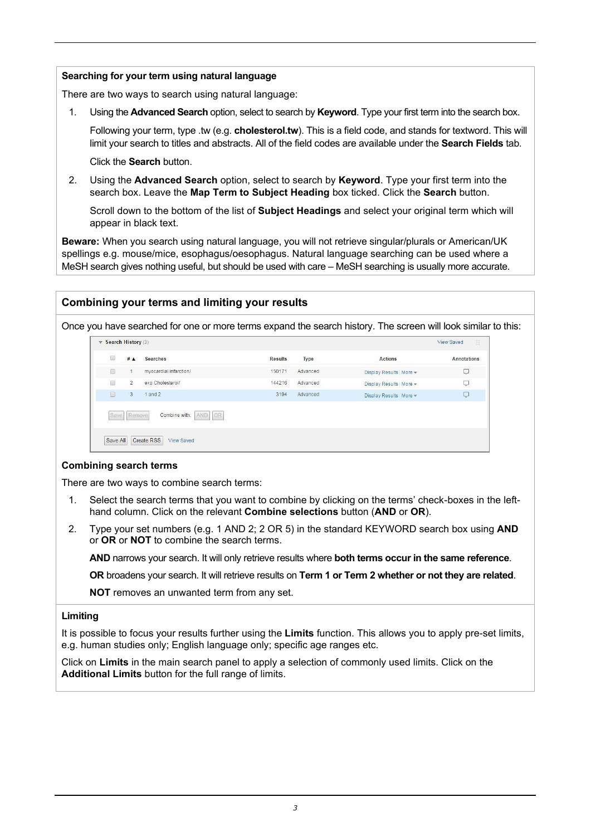#### **Searching for your term using natural language**

There are two ways to search using natural language:

1. Using the **Advanced Search** option, select to search by **Keyword**. Type your first term into the search box.

Following your term, type .tw (e.g. **cholesterol.tw**). This is a field code, and stands for textword. This will limit your search to titles and abstracts. All of the field codes are available under the **Search Fields** tab.

Click the **Search** button.

2. Using the **Advanced Search** option, select to search by **Keyword**. Type your first term into the search box. Leave the **Map Term to Subject Heading** box ticked. Click the **Search** button.

Scroll down to the bottom of the list of **Subject Headings** and select your original term which will appear in black text.

**Beware:** When you search using natural language, you will not retrieve singular/plurals or American/UK spellings e.g. mouse/mice, esophagus/oesophagus. Natural language searching can be used where a MeSH search gives nothing useful, but should be used with care – MeSH searching is usually more accurate.

### **Combining your terms and limiting your results**

Once you have searched for one or more terms expand the search history. The screen will look similar to this:

| 0      | $#$ $\triangle$ | Searches               | <b>Results</b> | <b>Type</b> | <b>Actions</b>         | <b>Annotations</b> |
|--------|-----------------|------------------------|----------------|-------------|------------------------|--------------------|
| 8      |                 | myocardial infarction/ | 150171         | Advanced    | Display Results More = | Q                  |
| $\Box$ | $\overline{2}$  | exp Cholesterol/       | 144216         | Advanced    | Display Results More + | Q                  |
| $\Box$ | 3               | $1$ and $2$            | 3194           | Advanced    | Display Results More + | Q                  |

#### **Combining search terms**

There are two ways to combine search terms:

- 1. Select the search terms that you want to combine by clicking on the terms' check-boxes in the lefthand column. Click on the relevant **Combine selections** button (**AND** or **OR**).
- 2. Type your set numbers (e.g. 1 AND 2; 2 OR 5) in the standard KEYWORD search box using **AND** or **OR** or **NOT** to combine the search terms.

**AND** narrows your search. It will only retrieve results where **both terms occur in the same reference**.

**OR** broadens your search. It will retrieve results on **Term 1 or Term 2 whether or not they are related**.

**NOT** removes an unwanted term from any set.

#### **Limiting**

It is possible to focus your results further using the **Limits** function. This allows you to apply pre-set limits, e.g. human studies only; English language only; specific age ranges etc.

Click on **Limits** in the main search panel to apply a selection of commonly used limits. Click on the **Additional Limits** button for the full range of limits.